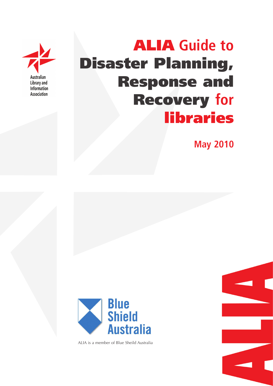

# ALIA **Guide to**  Disaster Planning, Response and Recovery **for** libraries

**May 2010**



ALIA is a member of Blue Sheild Australia

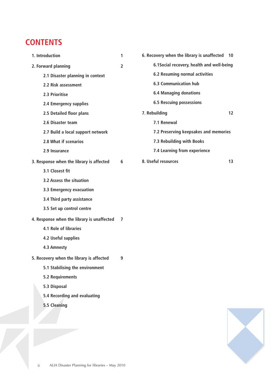# **CONTENTS**

| 1. Introduction                            | 1              | 6. Recovery when the library is unaffected 10 |                   |
|--------------------------------------------|----------------|-----------------------------------------------|-------------------|
| 2. Forward planning                        | $\overline{2}$ | 6.1Social recovery, health and well-being     |                   |
| 2.1 Disaster planning in context           |                | <b>6.2 Resuming normal activities</b>         |                   |
| 2.2 Risk assessment                        |                | <b>6.3 Communication hub</b>                  |                   |
| 2.3 Prioritise                             |                | <b>6.4 Managing donations</b>                 |                   |
| 2.4 Emergency supplies                     |                | <b>6.5 Rescuing possessions</b>               |                   |
| 2.5 Detailed floor plans                   |                | 7. Rebuilding                                 | $12 \overline{ }$ |
| 2.6 Disaster team                          |                | 7.1 Renewal                                   |                   |
| 2.7 Build a local support network          |                | 7.2 Preserving keepsakes and memories         |                   |
| 2.8 What if scenarios                      |                | 7.3 Rebuilding with Books                     |                   |
| 2.9 Insurance                              |                | 7.4 Learning from experience                  |                   |
| 3. Response when the library is affected   | 6              | 8. Useful resources                           | 13                |
| 3.1 Closest fit                            |                |                                               |                   |
| 3.2 Assess the situation                   |                |                                               |                   |
| 3.3 Emergency evacuation                   |                |                                               |                   |
| 3.4 Third party assistance                 |                |                                               |                   |
| 3.5 Set up control centre                  |                |                                               |                   |
| 4. Response when the library is unaffected | 7              |                                               |                   |
| 4.1 Role of libraries                      |                |                                               |                   |
| 4.2 Useful supplies                        |                |                                               |                   |
| 4.3 Amnesty                                |                |                                               |                   |
| 5. Recovery when the library is affected   | 9              |                                               |                   |
| 5.1 Stabilising the environment            |                |                                               |                   |
| 5.2 Requirements                           |                |                                               |                   |
| 5.3 Disposal                               |                |                                               |                   |
| 5.4 Recording and evaluating               |                |                                               |                   |
| 5.5 Cleaning                               |                |                                               |                   |
|                                            |                |                                               |                   |
|                                            |                |                                               |                   |

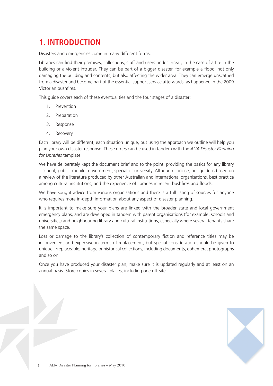# **1. INTRODUCTION**

Disasters and emergencies come in many different forms.

Libraries can find their premises, collections, staff and users under threat, in the case of a fire in the building or a violent intruder. They can be part of a bigger disaster, for example a flood, not only damaging the building and contents, but also affecting the wider area. They can emerge unscathed from a disaster and become part of the essential support service afterwards, as happened in the 2009 Victorian bushfires.

This guide covers each of these eventualities and the four stages of a disaster:

- 1. Prevention
- 2. Preparation
- 3. Response
- 4. Recovery

Each library will be different, each situation unique, but using the approach we outline will help you plan your own disaster response. These notes can be used in tandem with the *ALIA Disaster Planning for Libraries* template.

We have deliberately kept the document brief and to the point, providing the basics for any library – school, public, mobile, government, special or university. Although concise, our guide is based on a review of the literature produced by other Australian and international organisations, best practice among cultural institutions, and the experience of libraries in recent bushfires and floods.

We have sought advice from various organisations and there is a full listing of sources for anyone who requires more in-depth information about any aspect of disaster planning.

It is important to make sure your plans are linked with the broader state and local government emergency plans, and are developed in tandem with parent organisations (for example, schools and universities) and neighbouring library and cultural institutions, especially where several tenants share the same space.

Loss or damage to the library's collection of contemporary fiction and reference titles may be inconvenient and expensive in terms of replacement, but special consideration should be given to unique, irreplaceable, heritage or historical collections, including documents, ephemera, photographs and so on.

Once you have produced your disaster plan, make sure it is updated regularly and at least on an annual basis. Store copies in several places, including one off-site.

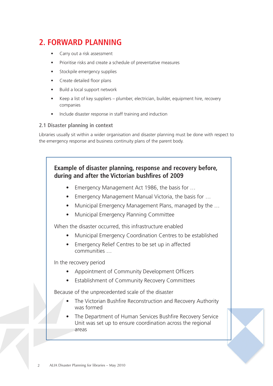# **2. FORWARD PLANNING**

- Carry out a risk assessment
- Prioritise risks and create a schedule of preventative measures
- Stockpile emergency supplies
- Create detailed floor plans
- Build a local support network
- Keep a list of key suppliers plumber, electrician, builder, equipment hire, recovery companies
- Include disaster response in staff training and induction

#### **2.1 Disaster planning in context**

Libraries usually sit within a wider organisation and disaster planning must be done with respect to the emergency response and business continuity plans of the parent body.

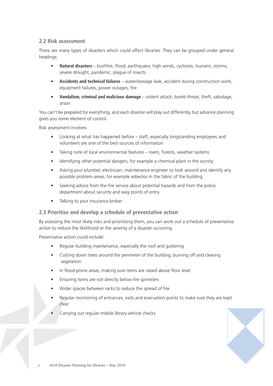# **2.2 Risk assessment**

There are many types of disasters which could affect libraries. They can be grouped under general headings:

- **Natural disasters**  bushfire, flood, earthquake, high winds, cyclones, tsunami, storms, severe drought, pandemic, plague of insects
- **Accidents and technical failures** water/sewage leak, accident during construction work, equipment failures, power outages, fire
- **Vandalism, criminal and malicious damage** violent attack, bomb threat, theft, sabotage, arson

You can't be prepared for everything, and each disaster will play out differently, but advance planning gives you some element of control.

Risk assessment involves:

- Looking at what has happened before staff, especially longstanding employees and volunteers are one of the best sources of information
- Taking note of local environmental features rivers, forests, weather systems
- Identifying other potential dangers, for example a chemical plant in the vicinity
- Asking your plumber, electrician, maintenance engineer to look around and identify any possible problem areas, for example asbestos in the fabric of the building
- Seeking advice from the fire service about potential hazards and from the police department about security and easy points of entry
- Talking to your insurance broker

## **2.3 Prioritise and develop a schedule of preventative action**

By assessing the most likely risks and prioritising them, you can work out a schedule of preventative action to reduce the likelihood or the severity of a disaster occurring.

Preventative action could include:

- Regular building maintenance, especially the roof and guttering
- Cutting down trees around the perimeter of the building, burning off and clearing vegetation
- In flood-prone areas, making sure items are raised above floor level
- Ensuring items are not directly below fire sprinklers
- Wider spaces between racks to reduce the spread of fire
- Regular monitoring of entrances, exits and evacuation points to make sure they are kept clear
- Carrying out regular mobile library vehicle checks

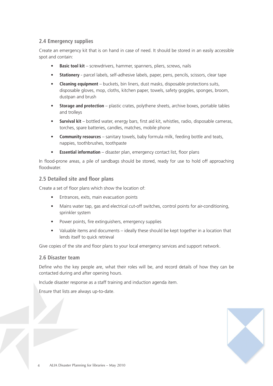# **2.4 Emergency supplies**

Create an emergency kit that is on hand in case of need. It should be stored in an easily accessible spot and contain:

- **Basic tool kit** screwdrivers, hammer, spanners, pliers, screws, nails
- **Stationery** parcel labels, self-adhesive labels, paper, pens, pencils, scissors, clear tape
- **Cleaning equipment** buckets, bin liners, dust masks, disposable protections suits, disposable gloves, mop, cloths, kitchen paper, towels, safety goggles, sponges, broom, dustpan and brush
- **Storage and protection** plastic crates, polythene sheets, archive boxes, portable tables and trolleys
- **Survival kit** bottled water, energy bars, first aid kit, whistles, radio, disposable cameras, torches, spare batteries, candles, matches, mobile phone
- **Community resources** sanitary towels, baby formula milk, feeding bottle and teats, nappies, toothbrushes, toothpaste
- **Essential information** disaster plan, emergency contact list, floor plans

In flood-prone areas, a pile of sandbags should be stored, ready for use to hold off approaching floodwater.

# **2.5 Detailed site and floor plans**

Create a set of floor plans which show the location of:

- Entrances, exits, main evacuation points
- Mains water tap, gas and electrical cut-off switches, control points for air-conditioning, sprinkler system
- Power points, fire extinguishers, emergency supplies
- Valuable items and documents ideally these should be kept together in a location that lends itself to quick retrieval

Give copies of the site and floor plans to your local emergency services and support network.

#### **2.6 Disaster team**

Define who the key people are, what their roles will be, and record details of how they can be contacted during and after opening hours.

Include disaster response as a staff training and induction agenda item.

Ensure that lists are always up-to-date.

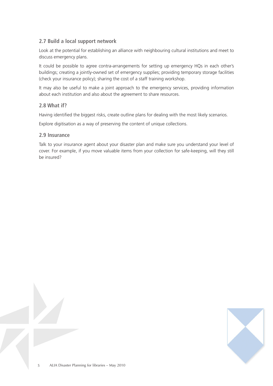# **2.7 Build a local support network**

Look at the potential for establishing an alliance with neighbouring cultural institutions and meet to discuss emergency plans.

It could be possible to agree contra-arrangements for setting up emergency HQs in each other's buildings; creating a jointly-owned set of emergency supplies; providing temporary storage facilities (check your insurance policy); sharing the cost of a staff training workshop.

It may also be useful to make a joint approach to the emergency services, providing information about each institution and also about the agreement to share resources.

#### **2.8 What if?**

Having identified the biggest risks, create outline plans for dealing with the most likely scenarios.

Explore digitisation as a way of preserving the content of unique collections.

#### **2.9 Insurance**

Talk to your insurance agent about your disaster plan and make sure you understand your level of cover. For example, if you move valuable items from your collection for safe-keeping, will they still be insured?

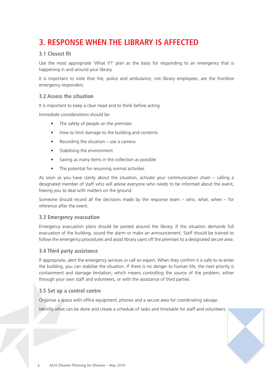# **3. RESPONSE WHEN THE LIBRARY IS AFFECTED**

# **3.1 Closest fit**

Use the most appropriate 'What if?' plan as the basis for responding to an emergency that is happening in and around your library.

It is important to note that fire, police and ambulance, not library employees, are the frontline emergency responders.

### **3.2 Assess the situation**

It is important to keep a clear head and to think before acting.

Immediate considerations should be:

- The safety of people on the premises
- How to limit damage to the building and contents
- Recording the situation use a camera
- Stabilising the environment
- Saving as many items in the collection as possible
- The potential for resuming normal activities

As soon as you have clarity about the situation, activate your communication chain – calling a designated member of staff who will advise everyone who needs to be informed about the event, freeing you to deal with matters on the ground.

Someone should record all the decisions made by the response team – who, what, when – for reference after the event.

#### **3.3 Emergency evacuation**

Emergency evacuation plans should be posted around the library. If the situation demands full evacuation of the building, sound the alarm or make an announcement. Staff should be trained to follow the emergency procedures and assist library users off the premises to a designated secure area.

#### **3.4 Third party assistance**

If appropriate, alert the emergency services or call an expert. When they confirm it is safe to re-enter the building, you can stabilise the situation. If there is no danger to human life, the next priority is containment and damage limitation, which means controlling the source of the problem, either through your own staff and volunteers, or with the assistance of third parties.

## **3.5 Set up a control centre**

Organise a space with office equipment, phones and a secure area for coordinating salvage.

Identify what can be done and create a schedule of tasks and timetable for staff and volunteers.

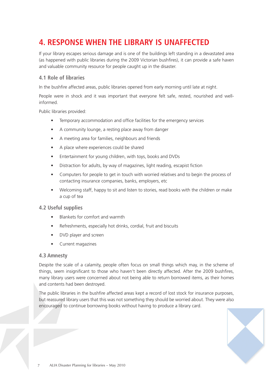# **4. RESPONSE WHEN THE LIBRARY IS UNAFFECTED**

If your library escapes serious damage and is one of the buildings left standing in a devastated area (as happened with public libraries during the 2009 Victorian bushfires), it can provide a safe haven and valuable community resource for people caught up in the disaster.

# **4.1 Role of libraries**

In the bushfire affected areas, public libraries opened from early morning until late at night.

People were in shock and it was important that everyone felt safe, rested, nourished and wellinformed.

Public libraries provided:

- Temporary accommodation and office facilities for the emergency services
- A community lounge, a resting place away from danger
- A meeting area for families, neighbours and friends
- A place where experiences could be shared
- Entertainment for young children, with toys, books and DVDs
- Distraction for adults, by way of magazines, light reading, escapist fiction
- Computers for people to get in touch with worried relatives and to begin the process of contacting insurance companies, banks, employers, etc
- Welcoming staff, happy to sit and listen to stories, read books with the children or make a cup of tea

## **4.2 Useful supplies**

- Blankets for comfort and warmth
- Refreshments, especially hot drinks, cordial, fruit and biscuits
- DVD player and screen
- Current magazines

#### **4.3 Amnesty**

Despite the scale of a calamity, people often focus on small things which may, in the scheme of things, seem insignificant to those who haven't been directly affected. After the 2009 bushfires, many library users were concerned about not being able to return borrowed items, as their homes and contents had been destroyed.

The public libraries in the bushfire affected areas kept a record of lost stock for insurance purposes, but reassured library users that this was not something they should be worried about. They were also encouraged to continue borrowing books without having to produce a library card.

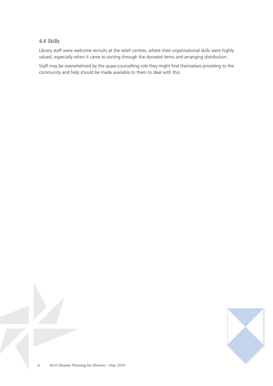## **4.4 Skills**

Library staff were welcome recruits at the relief centres, where their organisational skills were highly valued, especially when it came to sorting through the donated items and arranging distribution.

Staff may be overwhelmed by the quasi-counselling role they might find themselves providing to the community and help should be made available to them to deal with this.

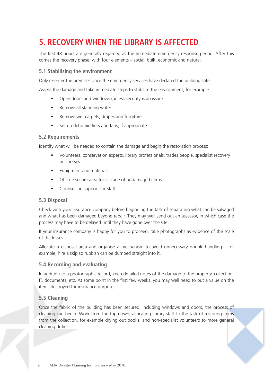# **5. RECOVERY WHEN THE LIBRARY IS AFFECTED**

The first 48 hours are generally regarded as the immediate emergency response period. After this comes the recovery phase, with four elements – social, built, economic and natural.

# **5.1 Stabilising the environment**

Only re-enter the premises once the emergency services have declared the building safe.

Assess the damage and take immediate steps to stabilise the environment, for example:

- Open doors and windows (unless security is an issue)
- Remove all standing water
- Remove wet carpets, drapes and furniture
- Set up dehumidifiers and fans, if appropriate

#### **5.2 Requirements**

Identify what will be needed to contain the damage and begin the restoration process:

- Volunteers, conservation experts, library professionals, trades people, specialist recovery businesses
- Equipment and materials
- Off-site secure area for storage of undamaged items
- Counselling support for staff

## **5.3 Disposal**

Check with your insurance company before beginning the task of separating what can be salvaged and what has been damaged beyond repair. They may well send out an assessor, in which case the process may have to be delayed until they have gone over the site.

If your insurance company is happy for you to proceed, take photographs as evidence of the scale of the losses.

Allocate a disposal area and organise a mechanism to avoid unnecessary double-handling – for example, hire a skip so rubbish can be dumped straight into it.

## **5.4 Recording and evaluating**

In addition to a photographic record, keep detailed notes of the damage to the property, collection, IT, documents, etc. At some point in the first few weeks, you may well need to put a value on the items destroyed for insurance purposes.

## **5.5 Cleaning**

Once the fabric of the building has been secured, including windows and doors, the process of cleaning can begin. Work from the top down, allocating library staff to the task of restoring items from the collection, for example drying out books, and non-specialist volunteers to more general cleaning duties.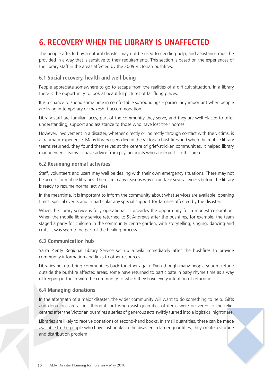# **6. RECOVERY WHEN THE LIBRARY IS UNAFFECTED**

The people affected by a natural disaster may not be used to needing help, and assistance must be provided in a way that is sensitive to their requirements. This section is based on the experiences of the library staff in the areas affected by the 2009 Victorian bushfires.

# **6.1 Social recovery, health and well-being**

People appreciate somewhere to go to escape from the realities of a difficult situation. In a library there is the opportunity to look at beautiful pictures of far flung places.

It is a chance to spend some time in comfortable surroundings – particularly important when people are living in temporary or makeshift accommodation.

Library staff are familiar faces, part of the community they serve, and they are well-placed to offer understanding, support and assistance to those who have lost their homes.

However, involvement in a disaster, whether directly or indirectly through contact with the victims, is a traumatic experience. Many library users died in the Victorian bushfires and when the mobile library teams returned, they found themselves at the centre of grief-stricken communities. It helped library management teams to have advice from psychologists who are experts in this area.

#### **6.2 Resuming normal activities**

Staff, volunteers and users may well be dealing with their own emergency situations. There may not be access for mobile libraries. There are many reasons why it can take several weeks before the library is ready to resume normal activities.

In the meantime, it is important to inform the community about what services are available; opening times; special events and in particular any special support for families affected by the disaster.

When the library service is fully operational, it provides the opportunity for a modest celebration. When the mobile library service returned to St Andrews after the bushfires, for example, the team staged a party for children in the community centre garden, with storytelling, singing, dancing and craft. It was seen to be part of the healing process.

#### **6.3 Communication hub**

Yarra Plenty Regional Library Service set up a wiki immediately after the bushfires to provide community information and links to other resources.

Libraries help to bring communities back together again. Even though many people sought refuge outside the bushfire affected areas, some have returned to participate in baby rhyme time as a way of keeping in touch with the community to which they have every intention of returning.

## **6.4 Managing donations**

In the aftermath of a major disaster, the wider community will want to do something to help. Gifts and donations are a first thought, but when vast quantities of items were delivered to the relief centres after the Victorian bushfires a series of generous acts swiftly turned into a logistical nightmare.

Libraries are likely to receive donations of second-hand books. In small quantities, these can be made available to the people who have lost books in the disaster. In larger quantities, they create a storage and distribution problem.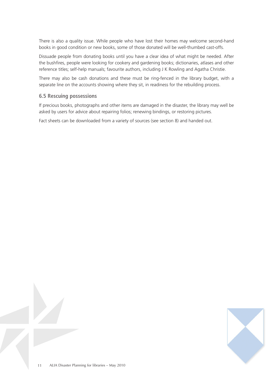There is also a quality issue. While people who have lost their homes may welcome second-hand books in good condition or new books, some of those donated will be well-thumbed cast-offs.

Dissuade people from donating books until you have a clear idea of what might be needed. After the bushfires, people were looking for cookery and gardening books; dictionaries, atlases and other reference titles; self-help manuals; favourite authors, including J K Rowling and Agatha Christie.

There may also be cash donations and these must be ring-fenced in the library budget, with a separate line on the accounts showing where they sit, in readiness for the rebuilding process.

#### **6.5 Rescuing possessions**

If precious books, photographs and other items are damaged in the disaster, the library may well be asked by users for advice about repairing folios; renewing bindings, or restoring pictures.

Fact sheets can be downloaded from a variety of sources (see section 8) and handed out.

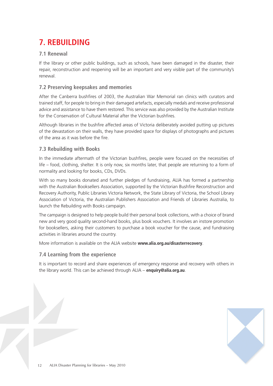# **7. REBUILDING**

# **7.1 Renewal**

If the library or other public buildings, such as schools, have been damaged in the disaster, their repair, reconstruction and reopening will be an important and very visible part of the community's renewal.

# **7.2 Preserving keepsakes and memories**

After the Canberra bushfires of 2003, the Australian War Memorial ran clinics with curators and trained staff, for people to bring in their damaged artefacts, especially medals and receive professional advice and assistance to have them restored. This service was also provided by the Australian Institute for the Conservation of Cultural Material after the Victorian bushfires.

Although libraries in the bushfire affected areas of Victoria deliberately avoided putting up pictures of the devastation on their walls, they have provided space for displays of photographs and pictures of the area as it was before the fire.

# **7.3 Rebuilding with Books**

In the immediate aftermath of the Victorian bushfires, people were focused on the necessities of life – food, clothing, shelter. It is only now, six months later, that people are returning to a form of normality and looking for books, CDs, DVDs.

With so many books donated and further pledges of fundraising, ALIA has formed a partnership with the Australian Booksellers Association, supported by the Victorian Bushfire Reconstruction and Recovery Authority, Public Libraries Victoria Network, the State Library of Victoria, the School Library Association of Victoria, the Australian Publishers Association and Friends of Libraries Australia, to launch the Rebuilding with Books campaign.

The campaign is designed to help people build their personal book collections, with a choice of brand new and very good quality second-hand books, plus book vouchers. It involves an instore promotion for booksellers, asking their customers to purchase a book voucher for the cause, and fundraising activities in libraries around the country.

More information is available on the ALIA website **www.alia.org.au/disasterrecovery**.

## **7.4 Learning from the experience**

It is important to record and share experiences of emergency response and recovery with others in the library world. This can be achieved through ALIA – **enquiry@alia.org.au**.

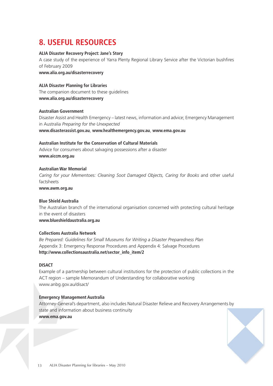# **8. USEFUL RESOURCES**

#### **ALIA Disaster Recovery Project: Jane's Story**

A case study of the experience of Yarra Plenty Regional Library Service after the Victorian bushfires of February 2009

**www.alia.org.au/disasterrecovery**

#### **ALIA Disaster Planning for Libraries**

The companion document to these guidelines **www.alia.org.au/disasterrecovery**

#### **Australian Government**

Disaster Assist and Health Emergency – latest news, information and advice; Emergency Management in Australia *Preparing for the Unexpected* **www.disasterassist.gov.au**, **www.healthemergency.gov.au**, **www.ema.gov.au**

#### **Australian Institute for the Conservation of Cultural Materials**

Advice for consumers about salvaging possessions after a disaster **www.aiccm.org.au** 

#### **Australian War Memorial**

*Caring for your Mementoes: Cleaning Soot Damaged Objects, Caring for Books* and other useful factsheets

**www.awm.org.au** 

#### **Blue Shield Australia**

The Australian branch of the international organisation concerned with protecting cultural heritage in the event of disasters **www.blueshieldaustralia.org.au**

#### **Collections Australia Network**

*Be Prepared: Guidelines for Small Museums for Writing a Disaster Preparedness Plan*  Appendix 3: Emergency Response Procedures and Appendix 4: Salvage Procedures **http://www.collectionsaustralia.net/sector\_info\_item/2**

#### **DISACT**

Example of a partnership between cultural institutions for the protection of public collections in the ACT region – sample Memorandum of Understanding for collaborative working www.anbg.gov.au/disact/

#### **Emergency Management Australia**

Attorney-General's department, also includes Natural Disaster Relieve and Recovery Arrangements by state and information about business continuity **www.ema.gov.au**